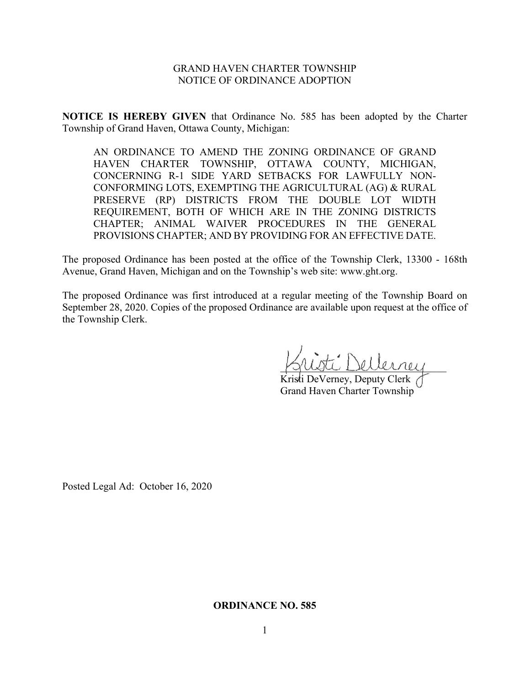## GRAND HAVEN CHARTER TOWNSHIP NOTICE OF ORDINANCE ADOPTION

**NOTICE IS HEREBY GIVEN** that Ordinance No. 585 has been adopted by the Charter Township of Grand Haven, Ottawa County, Michigan:

AN ORDINANCE TO AMEND THE ZONING ORDINANCE OF GRAND HAVEN CHARTER TOWNSHIP, OTTAWA COUNTY, MICHIGAN, CONCERNING R-1 SIDE YARD SETBACKS FOR LAWFULLY NON-CONFORMING LOTS, EXEMPTING THE AGRICULTURAL (AG) & RURAL PRESERVE (RP) DISTRICTS FROM THE DOUBLE LOT WIDTH REQUIREMENT, BOTH OF WHICH ARE IN THE ZONING DISTRICTS CHAPTER; ANIMAL WAIVER PROCEDURES IN THE GENERAL PROVISIONS CHAPTER; AND BY PROVIDING FOR AN EFFECTIVE DATE.

The proposed Ordinance has been posted at the office of the Township Clerk, 13300 - 168th Avenue, Grand Haven, Michigan and on the Township's web site: www.ght.org.

The proposed Ordinance was first introduced at a regular meeting of the Township Board on September 28, 2020. Copies of the proposed Ordinance are available upon request at the office of the Township Clerk.

\_\_\_\_\_\_\_\_\_\_\_\_\_\_\_\_\_\_\_\_\_\_\_\_\_\_\_\_\_\_\_\_

Kristi DeVerney, Deputy Clerk Grand Haven Charter Township

Posted Legal Ad: October 16, 2020

#### **ORDINANCE NO. 585**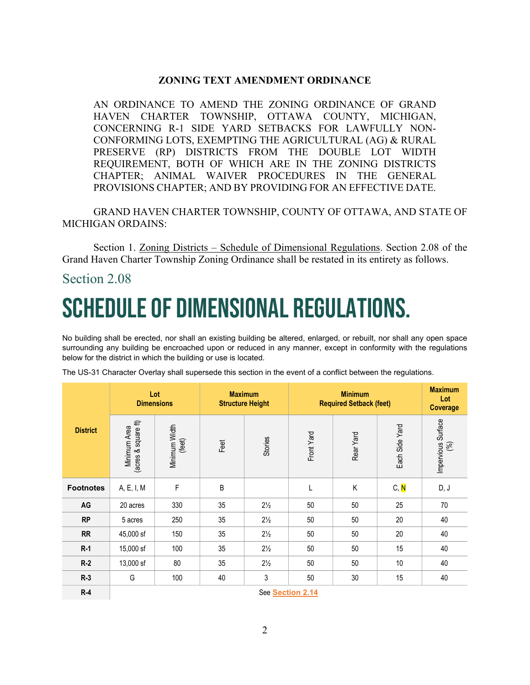## **ZONING TEXT AMENDMENT ORDINANCE**

AN ORDINANCE TO AMEND THE ZONING ORDINANCE OF GRAND HAVEN CHARTER TOWNSHIP, OTTAWA COUNTY, MICHIGAN, CONCERNING R-1 SIDE YARD SETBACKS FOR LAWFULLY NON-CONFORMING LOTS, EXEMPTING THE AGRICULTURAL (AG) & RURAL PRESERVE (RP) DISTRICTS FROM THE DOUBLE LOT WIDTH REQUIREMENT, BOTH OF WHICH ARE IN THE ZONING DISTRICTS CHAPTER; ANIMAL WAIVER PROCEDURES IN THE GENERAL PROVISIONS CHAPTER; AND BY PROVIDING FOR AN EFFECTIVE DATE.

GRAND HAVEN CHARTER TOWNSHIP, COUNTY OF OTTAWA, AND STATE OF MICHIGAN ORDAINS:

Section 1. Zoning Districts – Schedule of Dimensional Regulations. Section 2.08 of the Grand Haven Charter Township Zoning Ordinance shall be restated in its entirety as follows.

## Section 2.08

# Schedule of Dimensional Regulations.

No building shall be erected, nor shall an existing building be altered, enlarged, or rebuilt, nor shall any open space surrounding any building be encroached upon or reduced in any manner, except in conformity with the regulations below for the district in which the building or use is located.

|                  | Lot<br><b>Dimensions</b>            |                         | <b>Maximum</b><br><b>Structure Height</b> |                | <b>Minimum</b><br><b>Required Setback (feet)</b> |           |                | <b>Maximum</b><br>Lot<br><b>Coverage</b> |
|------------------|-------------------------------------|-------------------------|-------------------------------------------|----------------|--------------------------------------------------|-----------|----------------|------------------------------------------|
| <b>District</b>  | (acres & square ft)<br>Minimum Area | Minimum Width<br>(feet) | Feet                                      | Stories        | Front Yard                                       | Rear Yard | Each Side Yard | Impervious Surface<br>(%)                |
| <b>Footnotes</b> | A, E, I, M                          | F                       | B                                         |                |                                                  | Κ         | C, N           | D, J                                     |
| AG               | 20 acres                            | 330                     | 35                                        | $2\frac{1}{2}$ | 50                                               | 50        | 25             | 70                                       |
| <b>RP</b>        | 5 acres                             | 250                     | 35                                        | $2\frac{1}{2}$ | 50                                               | 50        | 20             | 40                                       |
| <b>RR</b>        | 45,000 sf                           | 150                     | 35                                        | $2\frac{1}{2}$ | 50                                               | 50        | 20             | 40                                       |
| $R-1$            | 15,000 sf                           | 100                     | 35                                        | $2\frac{1}{2}$ | 50                                               | 50        | 15             | 40                                       |
| $R-2$            | 13,000 sf                           | 80                      | 35                                        | $2\frac{1}{2}$ | 50                                               | 50        | 10             | 40                                       |
| $R-3$            | G                                   | 100                     | 40                                        | 3              | 50                                               | 30        | 15             | 40                                       |
| $R-4$            | See Section 2.14                    |                         |                                           |                |                                                  |           |                |                                          |

The US-31 Character Overlay shall supersede this section in the event of a conflict between the regulations.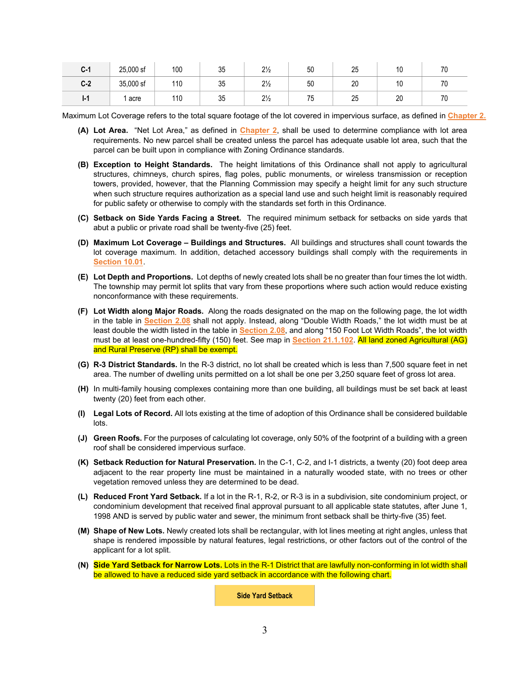| $C-1$ | 25,000 sf | 100 | つに<br>ບບ          | 21<br>$\frac{2}{2}$ | 50                          | 0E<br>∠∪ | $\overline{10}$<br>íV. | 70<br>7 U |
|-------|-----------|-----|-------------------|---------------------|-----------------------------|----------|------------------------|-----------|
| $C-2$ | 35,000 sf | 110 | つに<br>ບບ          | $2\frac{1}{2}$      | 50                          | 20       | $\overline{1}$<br>٠U   | 70        |
| l-1   | acre      | 110 | $\sim$<br>້<br>υu | $2\frac{1}{2}$      | $\overline{ }$<br>,,<br>ں ، | クに<br>ZJ | 20                     | 70<br>7 U |

Maximum Lot Coverage refers to the total square footage of the lot covered in impervious surface, as defined in **Chapter 2.**

- **(A) Lot Area.** "Net Lot Area," as defined in **Chapter 2**, shall be used to determine compliance with lot area requirements. No new parcel shall be created unless the parcel has adequate usable lot area, such that the parcel can be built upon in compliance with Zoning Ordinance standards.
- **(B) Exception to Height Standards.** The height limitations of this Ordinance shall not apply to agricultural structures, chimneys, church spires, flag poles, public monuments, or wireless transmission or reception towers, provided, however, that the Planning Commission may specify a height limit for any such structure when such structure requires authorization as a special land use and such height limit is reasonably required for public safety or otherwise to comply with the standards set forth in this Ordinance.
- **(C) Setback on Side Yards Facing a Street.** The required minimum setback for setbacks on side yards that abut a public or private road shall be twenty-five (25) feet.
- **(D) Maximum Lot Coverage – Buildings and Structures.** All buildings and structures shall count towards the lot coverage maximum. In addition, detached accessory buildings shall comply with the requirements in **Section 10.01**.
- **(E) Lot Depth and Proportions.** Lot depths of newly created lots shall be no greater than four times the lot width. The township may permit lot splits that vary from these proportions where such action would reduce existing nonconformance with these requirements.
- **(F) Lot Width along Major Roads.** Along the roads designated on the map on the following page, the lot width in the table in **Section 2.08** shall not apply. Instead, along "Double Width Roads," the lot width must be at least double the width listed in the table in **Section 2.08**, and along "150 Foot Lot Width Roads", the lot width must be at least one-hundred-fifty (150) feet. See map in **Section 21.1.102**. All land zoned Agricultural (AG) and Rural Preserve (RP) shall be exempt.
- **(G) R-3 District Standards.** In the R-3 district, no lot shall be created which is less than 7,500 square feet in net area. The number of dwelling units permitted on a lot shall be one per 3,250 square feet of gross lot area.
- **(H)** In multi-family housing complexes containing more than one building, all buildings must be set back at least twenty (20) feet from each other.
- **(I) Legal Lots of Record.** All lots existing at the time of adoption of this Ordinance shall be considered buildable lots.
- **(J) Green Roofs.** For the purposes of calculating lot coverage, only 50% of the footprint of a building with a green roof shall be considered impervious surface.
- **(K) Setback Reduction for Natural Preservation.** In the C-1, C-2, and I-1 districts, a twenty (20) foot deep area adjacent to the rear property line must be maintained in a naturally wooded state, with no trees or other vegetation removed unless they are determined to be dead.
- **(L) Reduced Front Yard Setback.** If a lot in the R-1, R-2, or R-3 is in a subdivision, site condominium project, or condominium development that received final approval pursuant to all applicable state statutes, after June 1, 1998 AND is served by public water and sewer, the minimum front setback shall be thirty-five (35) feet.
- **(M) Shape of New Lots.** Newly created lots shall be rectangular, with lot lines meeting at right angles, unless that shape is rendered impossible by natural features, legal restrictions, or other factors out of the control of the applicant for a lot split.
- **(N) Side Yard Setback for Narrow Lots.** Lots in the R-1 District that are lawfully non-conforming in lot width shall be allowed to have a reduced side yard setback in accordance with the following chart.

**Side Yard Setback**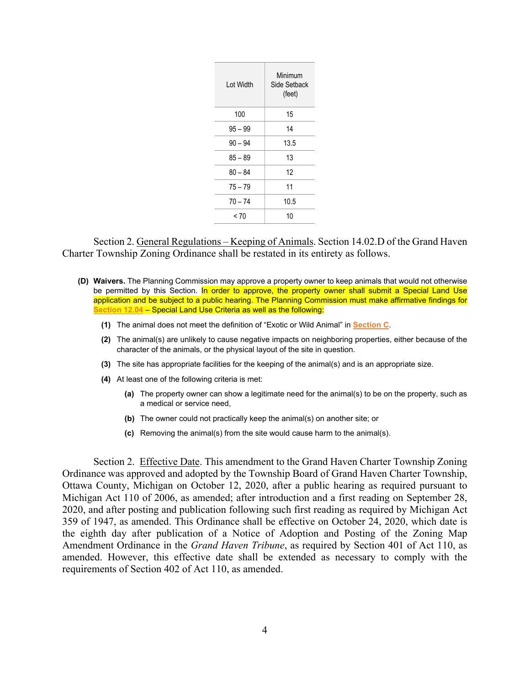| I of Width | Minimum<br>Side Setback<br>(feet) |
|------------|-----------------------------------|
| 100        | 15                                |
| $95 - 99$  | 14                                |
| $90 - 94$  | 13.5                              |
| $85 - 89$  | 13                                |
| $80 - 84$  | 12                                |
| $75 - 79$  | 11                                |
| $70 - 74$  | 10.5                              |
| < 70       | 10                                |

Section 2. General Regulations – Keeping of Animals. Section 14.02.D of the Grand Haven Charter Township Zoning Ordinance shall be restated in its entirety as follows.

- **(D) Waivers.** The Planning Commission may approve a property owner to keep animals that would not otherwise be permitted by this Section. In order to approve, the property owner shall submit a Special Land Use application and be subject to a public hearing. The Planning Commission must make affirmative findings for **Section 12.04** – Special Land Use Criteria as well as the following:
	- **(1)** The animal does not meet the definition of "Exotic or Wild Animal" in **Section C**.
	- **(2)** The animal(s) are unlikely to cause negative impacts on neighboring properties, either because of the character of the animals, or the physical layout of the site in question.
	- **(3)** The site has appropriate facilities for the keeping of the animal(s) and is an appropriate size.
	- **(4)** At least one of the following criteria is met:
		- **(a)** The property owner can show a legitimate need for the animal(s) to be on the property, such as a medical or service need,
		- **(b)** The owner could not practically keep the animal(s) on another site; or
		- **(c)** Removing the animal(s) from the site would cause harm to the animal(s).

Section 2. Effective Date. This amendment to the Grand Haven Charter Township Zoning Ordinance was approved and adopted by the Township Board of Grand Haven Charter Township, Ottawa County, Michigan on October 12, 2020, after a public hearing as required pursuant to Michigan Act 110 of 2006, as amended; after introduction and a first reading on September 28, 2020, and after posting and publication following such first reading as required by Michigan Act 359 of 1947, as amended. This Ordinance shall be effective on October 24, 2020, which date is the eighth day after publication of a Notice of Adoption and Posting of the Zoning Map Amendment Ordinance in the *Grand Haven Tribune*, as required by Section 401 of Act 110, as amended. However, this effective date shall be extended as necessary to comply with the requirements of Section 402 of Act 110, as amended.